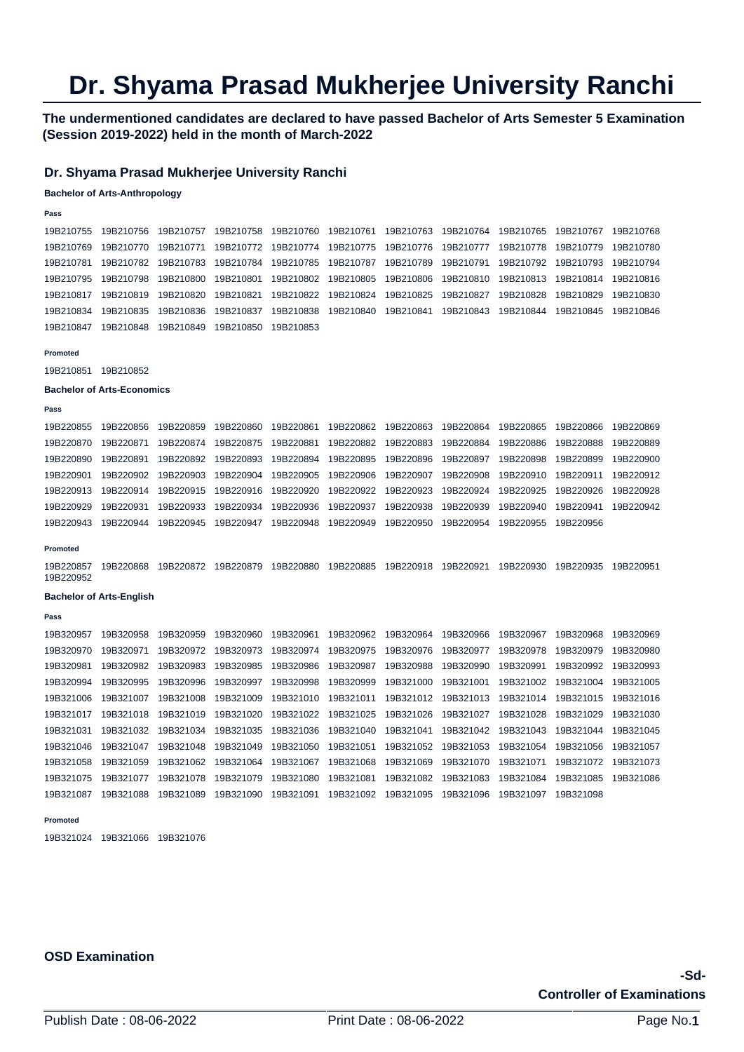# **Dr. Shyama Prasad Mukherjee University Ranchi**

**The undermentioned candidates are declared to have passed Bachelor of Arts Semester 5 Examination (Session 2019-2022) held in the month of March-2022** 

## **Dr. Shyama Prasad Mukherjee University Ranchi**

### **Bachelor of Arts-Anthropology**

## **Pass**

19B210755 19B210756 19B210757 19B210758 19B210760 19B210761 19B210763 19B210764 19B210765 19B210767 19B210768 19B210769 19B210770 19B210771 19B210772 19B210774 19B210775 19B210776 19B210777 19B210778 19B210779 19B210780 19B210781 19B210782 19B210783 19B210784 19B210785 19B210787 19B210789 19B210791 19B210792 19B210793 19B210794 19B210795 19B210798 19B210800 19B210801 19B210802 19B210805 19B210806 19B210810 19B210813 19B210814 19B210816 19B210817 19B210819 19B210820 19B210821 19B210822 19B210824 19B210825 19B210827 19B210828 19B210829 19B210830 19B210834 19B210835 19B210836 19B210837 19B210838 19B210840 19B210841 19B210843 19B210844 19B210845 19B210846 19B210847 19B210848 19B210849 19B210850 19B210853

#### **Promoted**

#### 19B210851 19B210852

#### **Bachelor of Arts-Economics**

```
Pass
```

| 19B220855 | 19B220856 | 19B220859 | 19B220860 |                               | 19B220861  19B220862  19B220863  19B220864 |           | 19B220865 | 19B220866 | 19B220869 |
|-----------|-----------|-----------|-----------|-------------------------------|--------------------------------------------|-----------|-----------|-----------|-----------|
| 19B220870 | 19B220871 | 19B220874 | 19B220875 |                               | 19B220881  19B220882  19B220883  19B220884 |           | 19B220886 | 19B220888 | 19B220889 |
| 19B220890 | 19B220891 | 19B220892 | 19B220893 |                               | 19B220894 19B220895 19B220896 19B220897    |           | 19B220898 | 19B220899 | 19B220900 |
| 19B220901 | 19B220902 | 19B220903 | 19B220904 |                               |                                            |           | 19B220910 | 19B220911 | 19B220912 |
| 19B220913 | 19B220914 | 19B220915 | 19B220916 |                               |                                            |           | 19B220925 | 19B220926 | 19B220928 |
| 19B220929 | 19B220931 | 19B220933 | 19B220934 | 19B220936 19B220937           | 19B220938                                  | 19B220939 | 19B220940 | 19B220941 | 19B220942 |
| 19B220943 | 19B220944 | 19B220945 | 19B220947 | 19B220948 19B220949 19B220950 |                                            | 19B220954 | 19B220955 | 19B220956 |           |
|           |           |           |           |                               |                                            |           |           |           |           |

#### **Promoted**

19B220857 19B220868 19B220872 19B220879 19B220880 19B220885 19B220918 19B220921 19B220930 19B220935 19B220951 19B220952

### **Bachelor of Arts-English**

**Pass** 

19B320957 19B320958 19B320959 19B320960 19B320961 19B320962 19B320964 19B320966 19B320967 19B320968 19B320969 19B320970 19B320971 19B320972 19B320973 19B320974 19B320975 19B320976 19B320977 19B320978 19B320979 19B320980 19B320981 19B320982 19B320983 19B320985 19B320986 19B320987 19B320988 19B320990 19B320991 19B320992 19B320993 19B320994 19B320995 19B320996 19B320997 19B320998 19B320999 19B321000 19B321001 19B321002 19B321004 19B321005 19B321006 19B321007 19B321008 19B321009 19B321010 19B321011 19B321012 19B321013 19B321014 19B321015 19B321016 19B321017 19B321018 19B321019 19B321020 19B321022 19B321025 19B321026 19B321027 19B321028 19B321029 19B321030 19B321031 19B321032 19B321034 19B321035 19B321036 19B321040 19B321041 19B321042 19B321043 19B321044 19B321045 19B321046 19B321047 19B321048 19B321049 19B321050 19B321051 19B321052 19B321053 19B321054 19B321056 19B321057 19B321058 19B321059 19B321062 19B321064 19B321067 19B321068 19B321069 19B321070 19B321071 19B321072 19B321073 19B321075 19B321077 19B321078 19B321079 19B321080 19B321081 19B321082 19B321083 19B321084 19B321085 19B321086 19B321087 19B321088 19B321089 19B321090 19B321091 19B321092 19B321095 19B321096 19B321097 19B321098

#### **Promoted**

19B321024 19B321066 19B321076

## **OSD Examination**

# **-Sd-Controller of Examinations**